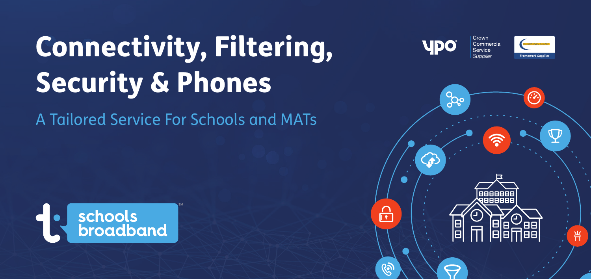# Connectivity, Filtering, Security & Phones

A Tailored Service For Schools and MATs





Crown

Commercial Service Supplier

**UDO**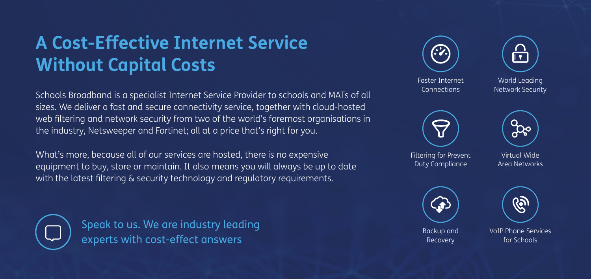#### **A Cost-Effective Internet Service Without Capital Costs**

Schools Broadband is a specialist Internet Service Provider to schools and MATs of all sizes. We deliver a fast and secure connectivity service, together with cloud-hosted web filtering and network security from two of the world's foremost organisations in the industry, Netsweeper and Fortinet; all at a price that's right for you.

What's more, because all of our services are hosted, there is no expensive equipment to buy, store or maintain. It also means you will always be up to date with the latest filtering & security technology and regulatory requirements.



Speak to us. We are industry leading experts with cost-effect answers

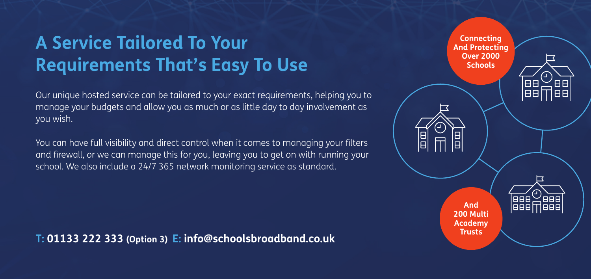#### **A Service Tailored To Your Requirements That's Easy To Use**

Our unique hosted service can be tailored to your exact requirements, helping you to manage your budgets and allow you as much or as little day to day involvement as you wish.

You can have full visibility and direct control when it comes to managing your filters and firewall, or we can manage this for you, leaving you to get on with running your school. We also include a 24/7 365 network monitoring service as standard.

**T: 01133 222 333 (Option 3) E: info@schoolsbroadband.co.uk**

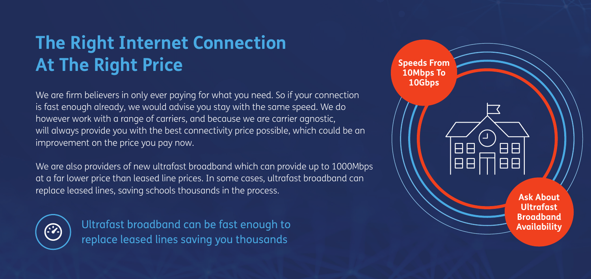### **The Right Internet Connection At The Right Price**

We are firm believers in only ever paying for what you need. So if your connection is fast enough already, we would advise you stay with the same speed. We do however work with a range of carriers, and because we are carrier agnostic, will always provide you with the best connectivity price possible, which could be an improvement on the price you pay now.

We are also providers of new ultrafast broadband which can provide up to 1000Mbps at a far lower price than leased line prices. In some cases, ultrafast broadband can replace leased lines, saving schools thousands in the process.



Ultrafast broadband can be fast enough to replace leased lines saving you thousands

**Speeds From 10Mbps To 10Gbps** $\overline{H}$ 日日 18 B **Ask About Ultrafast Broadband Availability**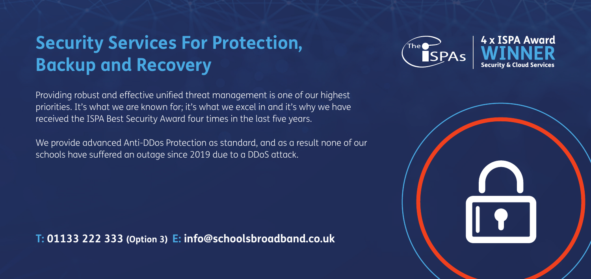#### **Security Services For Protection, Backup and Recovery**

Providing robust and effective unified threat management is one of our highest priorities. It's what we are known for; it's what we excel in and it's why we have received the ISPA Best Security Award four times in the last five years.

We provide advanced Anti-DDos Protection as standard, and as a result none of our schools have suffered an outage since 2019 due to a DDoS attack.

**T: 01133 222 333 (Option 3) E: info@schoolsbroadband.co.uk**



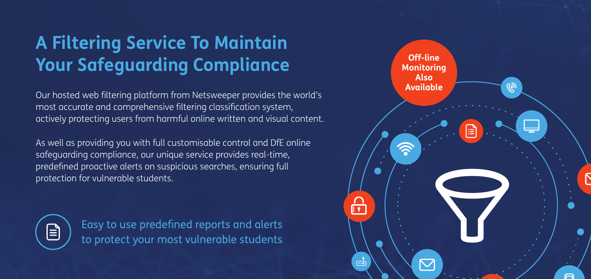## **A Filtering Service To Maintain Your Safeguarding Compliance**

Our hosted web filtering platform from Netsweeper provides the world's most accurate and comprehensive filtering classification system, actively protecting users from harmful online written and visual content.

As well as providing you with full customisable control and DfE online safeguarding compliance, our unique service provides real-time, predefined proactive alerts on suspicious searches, ensuring full protection for vulnerable students.



Easy to use predefined reports and alerts to protect your most vulnerable students

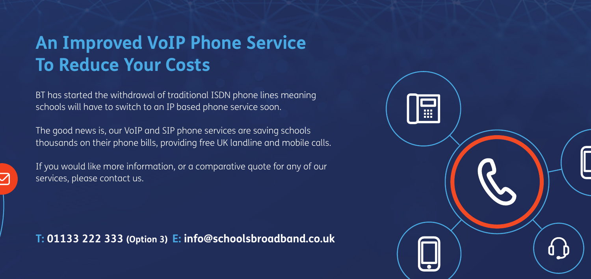#### **An Improved VoIP Phone Service To Reduce Your Costs**

BT has started the withdrawal of traditional ISDN phone lines meaning schools will have to switch to an IP based phone service soon.

The good news is, our VoIP and SIP phone services are saving schools thousands on their phone bills, providing free UK landline and mobile calls.



If you would like more information, or a comparative quote for any of our services, please contact us.

**T: 01133 222 333 (Option 3) E: info@schoolsbroadband.co.uk**